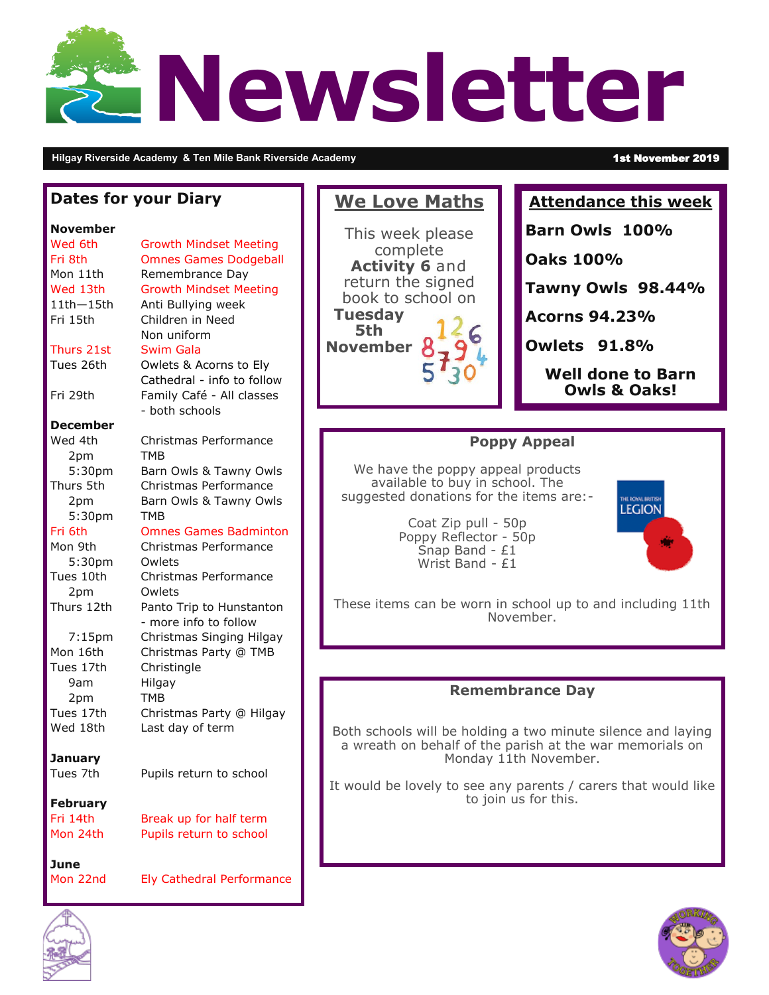# **Newsletter**

**Hilgay Riverside Academy & Ten Mile Bank Riverside Academy** 1st November 2019

### **Dates for your Diary**

### **November**

| Wed 6th         | <b>Growth Mindset Meeting</b>       |
|-----------------|-------------------------------------|
| Fri 8th         | <b>Omnes Games Dodgeball</b>        |
| Mon 11th        | Remembrance Day                     |
| Wed 13th        | <b>Growth Mindset Meeting</b>       |
| $11th - 15th$   | Anti Bullying week                  |
| Fri 15th        | Children in Need                    |
|                 | Non uniform                         |
| Thurs 21st      | <b>Swim Gala</b>                    |
| Tues 26th       | Owlets & Acorns to Ely              |
|                 | Cathedral - info to follow          |
| Fri 29th        | Family Café - All classes           |
|                 | - both schools                      |
| <b>December</b> |                                     |
| Wed 4th         |                                     |
|                 | Christmas Performance<br><b>TMB</b> |
| 2pm             |                                     |
| 5:30pm          | Barn Owls & Tawny Owls              |
| Thurs 5th       | Christmas Performance               |
| 2pm             | Barn Owls & Tawny Owls              |
| 5:30pm          | <b>TMB</b>                          |
| Fri 6th         | <b>Omnes Games Badminton</b>        |
| Mon 9th         | Christmas Performance               |
| 5:30pm          | Owlets                              |
| Tues 10th       | Christmas Performance               |
| 2pm             | Owlets                              |
| Thurs 12th      | Panto Trip to Hunstanton            |
|                 | - more info to follow               |
| $7:15$ pm       | Christmas Singing Hilgay            |
| Mon 16th        | Christmas Party @ TMB               |
| Tues 17th       | Christingle                         |
| 9am             | Hilgay                              |
| 2pm             | <b>TMB</b>                          |
| Tues 17th       | Christmas Party @ Hilgay            |
| Wed 18th        | Last day of term                    |
|                 |                                     |
| <b>January</b>  |                                     |
| Tues 7th        | Pupils return to school             |
|                 |                                     |
| <b>February</b> |                                     |
| Fri 14th        | Break up for half term              |
| Mon 24th        | Pupils return to school             |
|                 |                                     |
| June            |                                     |
| Mon 22nd        | Ely Cathedral Performance           |
|                 |                                     |
| ⚠               |                                     |

This week please complete **Activity 6** and return the signed book to school on **Tuesday 5th November**

**We Love Maths** 

### **Attendance this week**

**Barn Owls 100%**

**Oaks 100%**

**Tawny Owls 98.44%** 

**Acorns 94.23%**

**Owlets 91.8%** 

**Well done to Barn Owls & Oaks!**

## **Poppy Appeal**

We have the poppy appeal products available to buy in school. The suggested donations for the items are:-

> Coat Zip pull - 50p Poppy Reflector - 50p Snap Band - £1 Wrist Band - £1



These items can be worn in school up to and including 11th November.

### **Remembrance Day**

Both schools will be holding a two minute silence and laying a wreath on behalf of the parish at the war memorials on Monday 11th November.

It would be lovely to see any parents / carers that would like to join us for this.